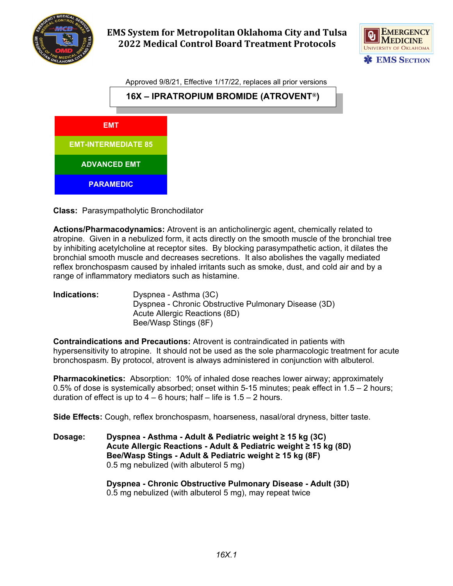

## **EMS System for Metropolitan Oklahoma City and Tulsa 2022 Medical Control Board Treatment Protocols**





**Class:** Parasympatholytic Bronchodilator

**Actions/Pharmacodynamics:** Atrovent is an anticholinergic agent, chemically related to atropine. Given in a nebulized form, it acts directly on the smooth muscle of the bronchial tree by inhibiting acetylcholine at receptor sites. By blocking parasympathetic action, it dilates the bronchial smooth muscle and decreases secretions. It also abolishes the vagally mediated reflex bronchospasm caused by inhaled irritants such as smoke, dust, and cold air and by a range of inflammatory mediators such as histamine.

**Indications:** Dyspnea - Asthma (3C) Dyspnea - Chronic Obstructive Pulmonary Disease (3D) Acute Allergic Reactions (8D) Bee/Wasp Stings (8F)

**Contraindications and Precautions:** Atrovent is contraindicated in patients with hypersensitivity to atropine. It should not be used as the sole pharmacologic treatment for acute bronchospasm. By protocol, atrovent is always administered in conjunction with albuterol.

**Pharmacokinetics:** Absorption: 10% of inhaled dose reaches lower airway; approximately 0.5% of dose is systemically absorbed; onset within 5-15 minutes; peak effect in 1.5 – 2 hours; duration of effect is up to  $4 - 6$  hours; half – life is  $1.5 - 2$  hours.

**Side Effects:** Cough, reflex bronchospasm, hoarseness, nasal/oral dryness, bitter taste.

**Dosage: Dyspnea - Asthma - Adult & Pediatric weight ≥ 15 kg (3C) Acute Allergic Reactions - Adult & Pediatric weight ≥ 15 kg (8D) Bee/Wasp Stings - Adult & Pediatric weight ≥ 15 kg (8F)** 0.5 mg nebulized (with albuterol 5 mg)

> **Dyspnea - Chronic Obstructive Pulmonary Disease - Adult (3D)** 0.5 mg nebulized (with albuterol 5 mg), may repeat twice